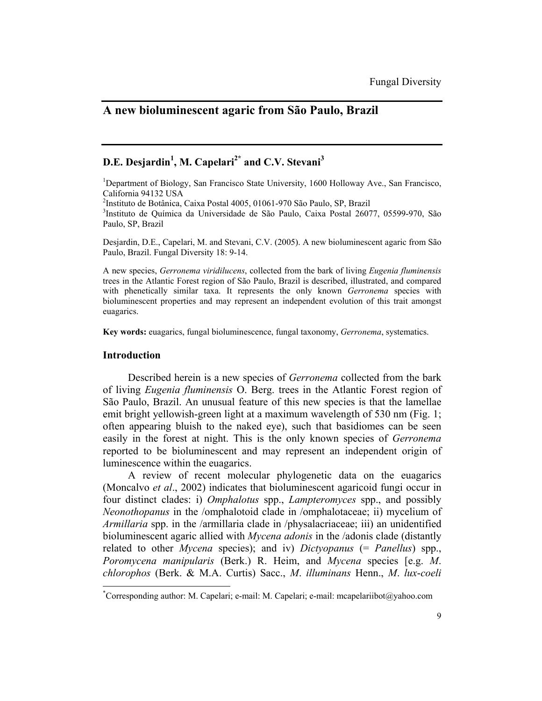# **A new bioluminescent agaric from São Paulo, Brazil**

# **D.E. Desjardin<sup>1</sup>, M. Capelari<sup>2\*</sup> and C.V. Stevani<sup>3</sup>**

<sup>1</sup>Department of Biology, San Francisco State University, 1600 Holloway Ave., San Francisco, California 94132 USA

2 Instituto de Botânica, Caixa Postal 4005, 01061-970 São Paulo, SP, Brazil 3

Instituto de Química da Universidade de São Paulo, Caixa Postal 26077, 05599-970, São Paulo, SP, Brazil

Desjardin, D.E., Capelari, M. and Stevani, C.V. (2005). A new bioluminescent agaric from São Paulo, Brazil. Fungal Diversity 18: 9-14.

A new species, *Gerronema viridilucens*, collected from the bark of living *Eugenia fluminensis* trees in the Atlantic Forest region of São Paulo, Brazil is described, illustrated, and compared with phenetically similar taxa. It represents the only known *Gerronema* species with bioluminescent properties and may represent an independent evolution of this trait amongst euagarics.

**Key words:** euagarics, fungal bioluminescence, fungal taxonomy, *Gerronema*, systematics.

### **Introduction**

 $\overline{a}$ 

Described herein is a new species of *Gerronema* collected from the bark of living *Eugenia fluminensis* O. Berg. trees in the Atlantic Forest region of São Paulo, Brazil. An unusual feature of this new species is that the lamellae emit bright yellowish-green light at a maximum wavelength of 530 nm (Fig. 1; often appearing bluish to the naked eye), such that basidiomes can be seen easily in the forest at night. This is the only known species of *Gerronema* reported to be bioluminescent and may represent an independent origin of luminescence within the euagarics.

A review of recent molecular phylogenetic data on the euagarics (Moncalvo *et al*., 2002) indicates that bioluminescent agaricoid fungi occur in four distinct clades: i) *Omphalotus* spp., *Lampteromyces* spp., and possibly *Neonothopanus* in the /omphalotoid clade in /omphalotaceae; ii) mycelium of *Armillaria* spp. in the /armillaria clade in /physalacriaceae; iii) an unidentified bioluminescent agaric allied with *Mycena adonis* in the /adonis clade (distantly related to other *Mycena* species); and iv) *Dictyopanus* (= *Panellus*) spp., *Poromycena manipularis* (Berk.) R. Heim, and *Mycena* species [e.g. *M*. *chlorophos* (Berk. & M.A. Curtis) Sacc., *M*. *illuminans* Henn., *M*. *lux*-*coeli*

<sup>\*</sup> Corresponding author: M. Capelari; e-mail: M. Capelari; e-mail: mcapelariibot@yahoo.com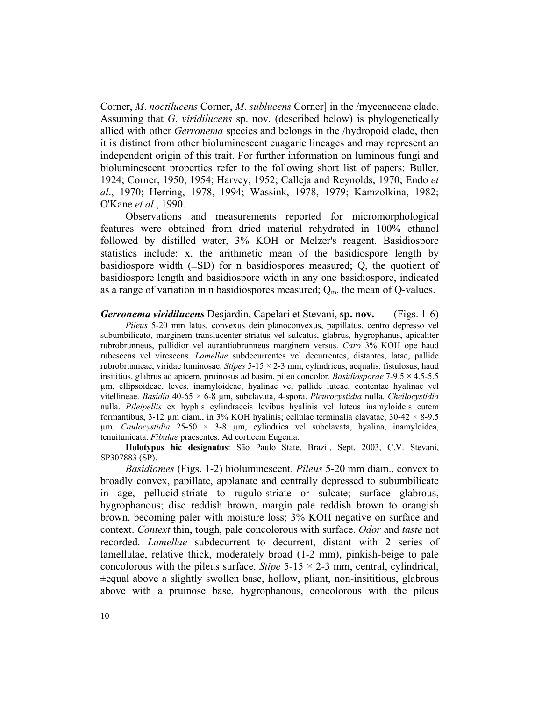Corner, *M*. *noctilucens* Corner, *M*. *sublucens* Corner] in the /mycenaceae clade. Assuming that *G*. *viridilucens* sp. nov. (described below) is phylogenetically allied with other *Gerronema* species and belongs in the /hydropoid clade, then it is distinct from other bioluminescent euagaric lineages and may represent an independent origin of this trait. For further information on luminous fungi and bioluminescent properties refer to the following short list of papers: Buller, 1924; Corner, 1950, 1954; Harvey, 1952; Calleja and Reynolds, 1970; Endo *et al*., 1970; Herring, 1978, 1994; Wassink, 1978, 1979; Kamzolkina, 1982; O'Kane *et al*., 1990.

Observations and measurements reported for micromorphological features were obtained from dried material rehydrated in 100% ethanol followed by distilled water, 3% KOH or Melzer's reagent. Basidiospore statistics include: x, the arithmetic mean of the basidiospore length by basidiospore width  $(\pm SD)$  for n basidiospores measured; O, the quotient of basidiospore length and basidiospore width in any one basidiospore, indicated as a range of variation in n basidiospores measured;  $Q_m$ , the mean of Q-values.

### *Gerronema viridilucens* Desjardin, Capelari et Stevani, **sp. nov.** (Figs. 1-6)

*Pileus* 5-20 mm latus, convexus dein planoconvexus, papillatus, centro depresso vel subumbilicato, marginem translucenter striatus vel sulcatus, glabrus, hygrophanus, apicaliter rubrobrunneus, pallidior vel aurantiobrunneus marginem versus. *Caro* 3% KOH ope haud rubescens vel virescens. *Lamellae* subdecurrentes vel decurrentes, distantes, latae, pallide rubrobrunneae, viridae luminosae. *Stipes* 5-15 × 2-3 mm, cylindricus, aequalis, fistulosus, haud insititius, glabrus ad apicem, pruinosus ad basim, pileo concolor. *Basidiosporae* 7-9.5 × 4.5-5.5 µm, ellipsoideae, leves, inamyloideae, hyalinae vel pallide luteae, contentae hyalinae vel vitellineae. *Basidia* 40-65 × 6-8 µm, subclavata, 4-spora. *Pleurocystidia* nulla. *Cheilocystidia* nulla. *Pileipellis* ex hyphis cylindraceis levibus hyalinis vel luteus inamyloideis cutem formantibus,  $3-12$  µm diam., in  $3\%$  KOH hyalinis; cellulae terminalia clavatae,  $30-42 \times 8-9.5$ µm. *Caulocystidia* 25-50 × 3-8 µm, cylindrica vel subclavata, hyalina, inamyloidea, tenuitunicata. *Fibulae* praesentes. Ad corticem Eugenia.

**Holotypus hic designatus**: São Paulo State, Brazil, Sept. 2003, C.V. Stevani, SP307883 (SP).

*Basidiomes* (Figs. 1-2) bioluminescent. *Pileus* 5-20 mm diam., convex to broadly convex, papillate, applanate and centrally depressed to subumbilicate in age, pellucid-striate to rugulo-striate or sulcate; surface glabrous, hygrophanous; disc reddish brown, margin pale reddish brown to orangish brown, becoming paler with moisture loss; 3% KOH negative on surface and context. *Context* thin, tough, pale concolorous with surface. *Odor* and *taste* not recorded. *Lamellae* subdecurrent to decurrent, distant with 2 series of lamellulae, relative thick, moderately broad (1-2 mm), pinkish-beige to pale concolorous with the pileus surface. *Stipe*  $5-15 \times 2-3$  mm, central, cylindrical,  $\pm$ equal above a slightly swollen base, hollow, pliant, non-insititious, glabrous above with a pruinose base, hygrophanous, concolorous with the pileus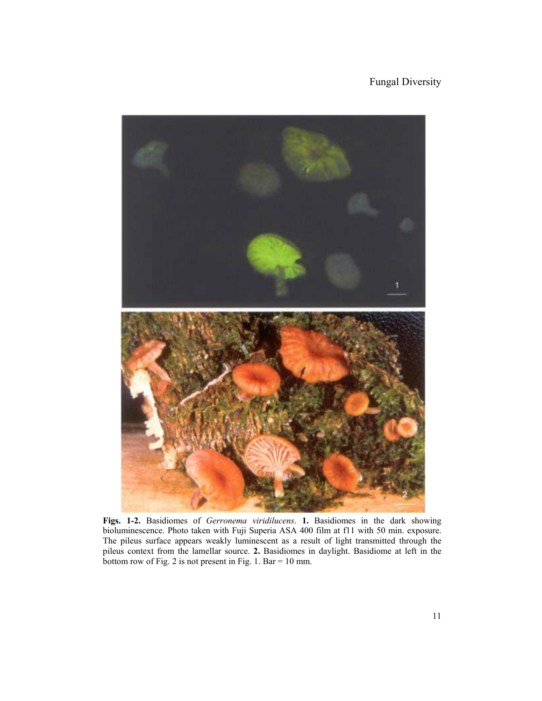### Fungal Diversity



**Figs. 1-2.** Basidiomes of *Gerronema viridilucens*. **1.** Basidiomes in the dark showing bioluminescence. Photo taken with Fuji Superia ASA 400 film at f11 with 50 min. exposure. The pileus surface appears weakly luminescent as a result of light transmitted through the pileus context from the lamellar source. **2.** Basidiomes in daylight. Basidiome at left in the bottom row of Fig. 2 is not present in Fig. 1. Bar = 10 mm.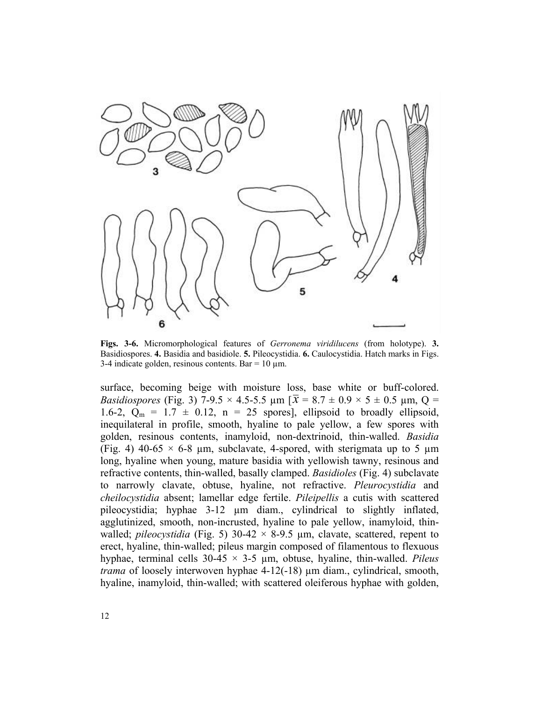

**Figs. 3-6.** Micromorphological features of *Gerronema viridilucens* (from holotype). **3.** Basidiospores. **4.** Basidia and basidiole. **5.** Pileocystidia. **6.** Caulocystidia. Hatch marks in Figs. 3-4 indicate golden, resinous contents. Bar =  $10 \mu$ m.

surface, becoming beige with moisture loss, base white or buff-colored. *Basidiospores* (Fig. 3) 7-9.5  $\times$  4.5-5.5  $\mu$ m [ $\bar{x}$  = 8.7  $\pm$  0.9  $\times$  5  $\pm$  0.5  $\mu$ m, Q = 1.6-2,  $Q_m = 1.7 \pm 0.12$ ,  $n = 25$  spores], ellipsoid to broadly ellipsoid, inequilateral in profile, smooth, hyaline to pale yellow, a few spores with golden, resinous contents, inamyloid, non-dextrinoid, thin-walled. *Basidia* (Fig. 4) 40-65  $\times$  6-8 µm, subclavate, 4-spored, with sterigmata up to 5 µm long, hyaline when young, mature basidia with yellowish tawny, resinous and refractive contents, thin-walled, basally clamped. *Basidioles* (Fig. 4) subclavate to narrowly clavate, obtuse, hyaline, not refractive. *Pleurocystidia* and *cheilocystidia* absent; lamellar edge fertile. *Pileipellis* a cutis with scattered pileocystidia; hyphae 3-12 µm diam., cylindrical to slightly inflated, agglutinized, smooth, non-incrusted, hyaline to pale yellow, inamyloid, thinwalled; *pileocystidia* (Fig. 5)  $30-42 \times 8-9.5$  µm, clavate, scattered, repent to erect, hyaline, thin-walled; pileus margin composed of filamentous to flexuous hyphae, terminal cells 30-45 × 3-5 µm, obtuse, hyaline, thin-walled. *Pileus trama* of loosely interwoven hyphae 4-12(-18) µm diam., cylindrical, smooth, hyaline, inamyloid, thin-walled; with scattered oleiferous hyphae with golden,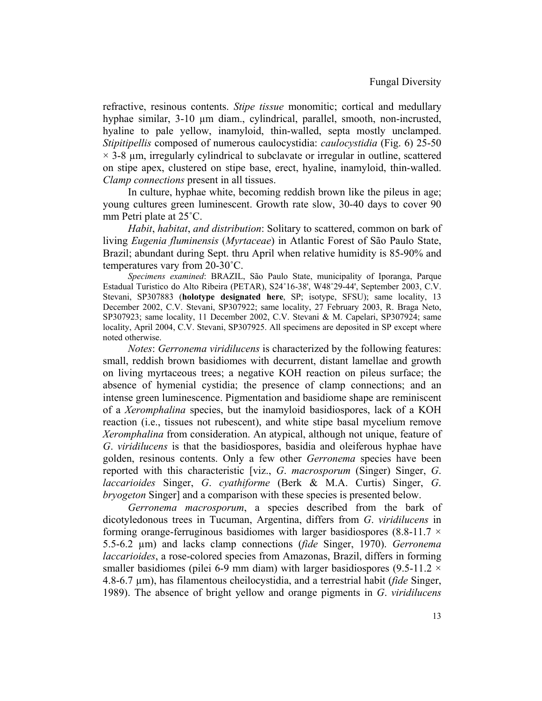refractive, resinous contents. *Stipe tissue* monomitic; cortical and medullary hyphae similar, 3-10 µm diam., cylindrical, parallel, smooth, non-incrusted, hyaline to pale yellow, inamyloid, thin-walled, septa mostly unclamped. *Stipitipellis* composed of numerous caulocystidia: *caulocystidia* (Fig. 6) 25-50  $\times$  3-8  $\mu$ m, irregularly cylindrical to subclavate or irregular in outline, scattered on stipe apex, clustered on stipe base, erect, hyaline, inamyloid, thin-walled. *Clamp connections* present in all tissues.

In culture, hyphae white, becoming reddish brown like the pileus in age; young cultures green luminescent. Growth rate slow, 30-40 days to cover 90 mm Petri plate at 25˚C.

*Habit*, *habitat*, *and distribution*: Solitary to scattered, common on bark of living *Eugenia fluminensis* (*Myrtaceae*) in Atlantic Forest of São Paulo State, Brazil; abundant during Sept. thru April when relative humidity is 85-90% and temperatures vary from 20-30˚C.

*Specimens examined*: BRAZIL, São Paulo State, municipality of Iporanga, Parque Estadual Turistico do Alto Ribeira (PETAR), S24˚16-38', W48˚29-44', September 2003, C.V. Stevani, SP307883 (**holotype designated here**, SP; isotype, SFSU); same locality, 13 December 2002, C.V. Stevani, SP307922; same locality, 27 February 2003, R. Braga Neto, SP307923; same locality, 11 December 2002, C.V. Stevani & M. Capelari, SP307924; same locality, April 2004, C.V. Stevani, SP307925. All specimens are deposited in SP except where noted otherwise.

*Notes*: *Gerronema viridilucens* is characterized by the following features: small, reddish brown basidiomes with decurrent, distant lamellae and growth on living myrtaceous trees; a negative KOH reaction on pileus surface; the absence of hymenial cystidia; the presence of clamp connections; and an intense green luminescence. Pigmentation and basidiome shape are reminiscent of a *Xeromphalina* species, but the inamyloid basidiospores, lack of a KOH reaction (i.e., tissues not rubescent), and white stipe basal mycelium remove *Xeromphalina* from consideration. An atypical, although not unique, feature of *G*. *viridilucens* is that the basidiospores, basidia and oleiferous hyphae have golden, resinous contents. Only a few other *Gerronema* species have been reported with this characteristic [viz., *G*. *macrosporum* (Singer) Singer, *G*. *laccarioides* Singer, *G*. *cyathiforme* (Berk & M.A. Curtis) Singer, *G*. *bryogeton* Singer] and a comparison with these species is presented below.

*Gerronema macrosporum*, a species described from the bark of dicotyledonous trees in Tucuman, Argentina, differs from *G*. *viridilucens* in forming orange-ferruginous basidiomes with larger basidiospores (8.8-11.7  $\times$ 5.5-6.2 µm) and lacks clamp connections (*fide* Singer, 1970). *Gerronema laccarioides*, a rose-colored species from Amazonas, Brazil, differs in forming smaller basidiomes (pilei 6-9 mm diam) with larger basidiospores (9.5-11.2  $\times$ 4.8-6.7 µm), has filamentous cheilocystidia, and a terrestrial habit (*fide* Singer, 1989). The absence of bright yellow and orange pigments in *G*. *viridilucens*